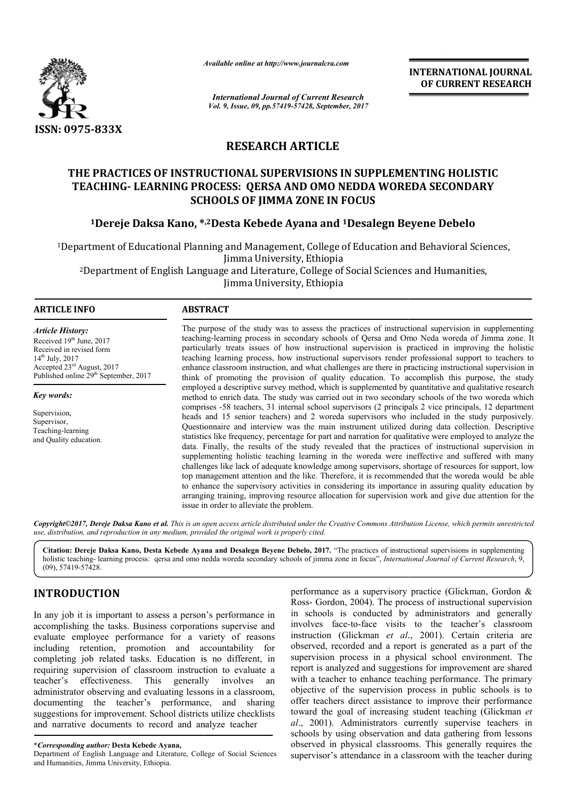

*Available online at http://www.journal http://www.journalcra.com*

*International Journal of Current Research Vol. 9, Issue, 09, pp.57419-57428, September, 2017* **INTERNATIONAL JOURNAL OF CURRENT RESEARCH** 

## **RESEARCH ARTICLE**

# **THE PRACTICES OF INSTRUCTIONAL SUPERVISIONS IN SUPPLEMENTING HOLISTIC TEACHING- LEARNING PROCESS: QERSA AND OMO NEDDA WOREDA SECONDARY SCHOOLS OF JIMMA ZONE IN FOCUS** THE PRACTICES OF INSTRUCTIONAL SUPERVISIONS IN SUPPLEMENTING HOLISTIC<br>TEACHING- LEARNING PROCESS: QERSA AND OMO NEDDA WOREDA SECONDARY<br>SCHOOLS OF JIMMA ZONE IN FOCUS<br><sup>1</sup>Dereje Daksa Kano, \*<sup>,2</sup>Desta Kebede Ayana and <sup>1</sup>Des

## **1Dereje Daksa Kano, \* \*,2Desta Kebede Ayana and 1Desalegn Beyene**

1Department of Educational Planning and Management, College of Education and Behavioral Sciences, Department Jimma University, Ethiopia 2Department of English Language and Literature, College of Social Sciences and Humanities, Department Jimma University, Ethiopia of Educational Planning and Management, College c<br>Jimma University, Ethiopia<br>nent of English Language and Literature, College of

#### **ARTICLE INFO ABSTRACT**

*Article History:* Received 19th June, 2017 Received in revised form 14th July, 2017 Accepted 23rd August, 2017 Published online 29<sup>th</sup> September, 2017

Supervision, Supervisor, Teaching-learning and Quality education.

*Key words:*

The purpose of the study was to assess the practices of instructional supervision in supplementing teaching teaching-learning process in secondary schools of Qersa and Omo Neda woreda of Jimma zone. It particularly treats issues of how instructional supervision is practiced in improving the holistic teaching learning process, how instructional supervisors render professional support to teachers to enhance classroom instruction, and what challenges are there in practicing instructional supervision in think of promoting the provision of quality education. To accomplish this purpose, the study employed a descriptive survey method, which is supplemented by quantitative and qualitative research method to enrich data. The study was carried out in two secondary schools of the two woreda which comprises -58 teachers, 31 internal school supervisors (2 principals 2 vice principals, 12 department heads and 15 senior teachers) and 2 woreda supervisors who included in the study purposively. Questionnaire and interview was the main instrument utilized during data collection. Descriptive statistics like frequency, percentage for part and narration for qualitative were employed to analyze the data. Finally, the results of the study revealed that the practices of instructional supervision in supplementing holistic teaching learning in the woreda were ineffective and suffered with many challenges like lack of adequate knowledge among supervisors, shortage of resources for support, low top management attention and the like. Therefore, it is recommended that the woreda would be able to enhance the supervisory activities in considering its importance in assuring quality education by arranging training, improving resource allocation for supervision work and give due attention for the issue in order to alleviate the problem. The purpose of the study was to assess the practices of instructional supervision in supplementing teaching learning process in secondary schools of Qersa and Omo Neda woreda of Jimma zone. It particularly treats issues of comprises -58 teachers, 31 internal school supervisors (2 principals 2 vice principals, 12 department heads and 15 senior teachers) and 2 woreda supervisors who included in the study purposively. Questionnaire and intervie supplementing holistic teaching learning in the woreda were ineffective and suffered with mechallenges like lack of adequate knowledge among supervisors, shortage of resources for support, ltop management attention and the **EXERCATIONAL JOURNAL SCHOTE TO THE SCHOT AND SERVE AND THE SCHOTESTIC OF CURRENT RESEARCH CHOMBING A CONSUMPTING HOLLSTIC AND AND MONED A WORED A WORED A SECOND ARY AND TICLE RYISIONS IN SUPPLEMENTING HOLLSTIC AND AND ON** 

*Copyright©2017, Dereje Daksa Kano et al. This is an open access article distributed under the Creative Commons Att Attribution License, which ribution License, permits unrestricted use, distribution, and reproduction in any medium, provided the original work is properly cited.*

Citation: Dereje Daksa Kano, Desta Kebede Ayana and Desalegn Beyene Debelo, 2017. "The practices of instructional supervisions in supplementing holistic teaching-learning process: qersa and omo nedda woreda secondary schools of jimma zone in focus", *International Journal of Current Research*, 9, (09), 57419-57428.

## **INTRODUCTION**

In any job it is important to assess a person's performance in accomplishing the tasks. Business corporations supervise and evaluate employee performance for a variety of reasons including retention, promotion and accountability for completing job related tasks. Education is no different, in requiring supervision of classroom instruction to evaluate a teacher's effectiveness. This generally involves an administrator observing and evaluating lessons in a classroom, documenting the teacher's performance, and sharing suggestions for improvement. School districts utilize checklists and narrative documents to record and analyze teacher

performance as a supervisory practice (Glickman, Gordon & Ross- Gordon, 2004). The process of instructional supervision in schools is conducted by administrators and generally involves face-to-face visits to the teacher's classroom instruction (Glickman *et al*., 2001). Certain criteria are observed, recorded and a report is generated supervision process in a physical school environment. The report is analyzed and suggestions for improvement are shared with a teacher to enhance teaching performance. The primary objective of the supervision process in public schools is t offer teachers direct assistance to improve their performance offer teachers direct assistance to improve their performance toward the goal of increasing student teaching (Glickman et *al*., 2001). Administrators currently supervise teachers in schools by using observation and data gathering from lessons observed in physical classrooms. This generally requires the supervisor's attendance in a classroom with the teacher during as a supervisory practice (Glickman, Gordon & n, 2004). The process of instructional supervision s conducted by administrators and generally e-to-face visits to the teacher's classroom Glickman *et al.*, 2001). Certain cr supervision process in a physical school environment. The report is analyzed and suggestions for improvement are shared with a teacher to enhance teaching performance. The primary objective of the supervision process in pu

**<sup>\*</sup>***Corresponding author:* **Desta Kebede Ayana,** 

Department of English Language and Literature, College of Social Sciences and Humanities, Jimma University, Ethiopia.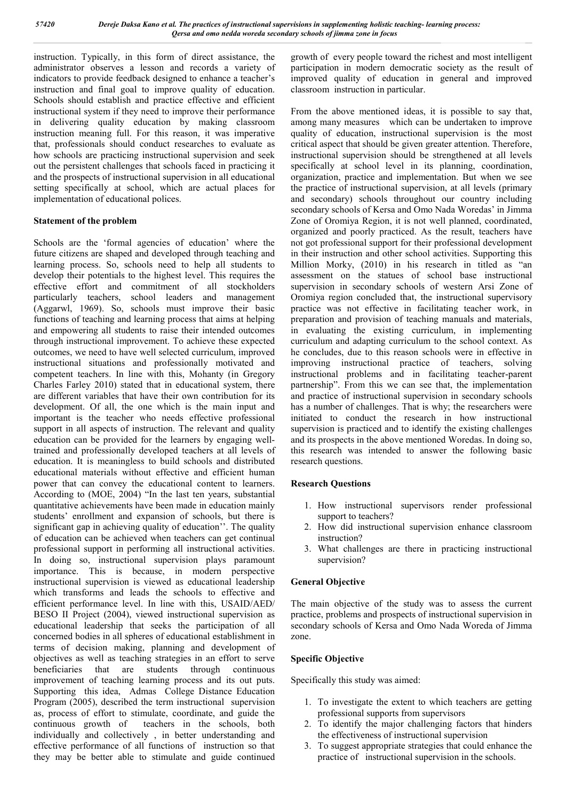instruction. Typically, in this form of direct assistance, the administrator observes a lesson and records a variety of indicators to provide feedback designed to enhance a teacher's instruction and final goal to improve quality of education. Schools should establish and practice effective and efficient instructional system if they need to improve their performance in delivering quality education by making classroom instruction meaning full. For this reason, it was imperative that, professionals should conduct researches to evaluate as how schools are practicing instructional supervision and seek out the persistent challenges that schools faced in practicing it and the prospects of instructional supervision in all educational setting specifically at school, which are actual places for implementation of educational polices.

#### **Statement of the problem**

Schools are the 'formal agencies of education' where the future citizens are shaped and developed through teaching and learning process. So, schools need to help all students to develop their potentials to the highest level. This requires the effective effort and commitment of all stockholders particularly teachers, school leaders and management (Aggarwl, 1969). So, schools must improve their basic functions of teaching and learning process that aims at helping and empowering all students to raise their intended outcomes through instructional improvement. To achieve these expected outcomes, we need to have well selected curriculum, improved instructional situations and professionally motivated and competent teachers. In line with this, Mohanty (in Gregory Charles Farley 2010) stated that in educational system, there are different variables that have their own contribution for its development. Of all, the one which is the main input and important is the teacher who needs effective professional support in all aspects of instruction. The relevant and quality education can be provided for the learners by engaging welltrained and professionally developed teachers at all levels of education. It is meaningless to build schools and distributed educational materials without effective and efficient human power that can convey the educational content to learners. According to (MOE, 2004) "In the last ten years, substantial quantitative achievements have been made in education mainly students' enrollment and expansion of schools, but there is significant gap in achieving quality of education''. The quality of education can be achieved when teachers can get continual professional support in performing all instructional activities. In doing so, instructional supervision plays paramount importance. This is because, in modern perspective instructional supervision is viewed as educational leadership which transforms and leads the schools to effective and efficient performance level. In line with this, USAID/AED/ BESO II Project (2004), viewed instructional supervision as educational leadership that seeks the participation of all concerned bodies in all spheres of educational establishment in terms of decision making, planning and development of objectives as well as teaching strategies in an effort to serve beneficiaries that are students through continuous improvement of teaching learning process and its out puts. Supporting this idea, Admas College Distance Education Program (2005), described the term instructional supervision as, process of effort to stimulate, coordinate, and guide the continuous growth of teachers in the schools, both individually and collectively , in better understanding and effective performance of all functions of instruction so that they may be better able to stimulate and guide continued growth of every people toward the richest and most intelligent participation in modern democratic society as the result of improved quality of education in general and improved classroom instruction in particular.

From the above mentioned ideas, it is possible to say that, among many measures which can be undertaken to improve quality of education, instructional supervision is the most critical aspect that should be given greater attention. Therefore, instructional supervision should be strengthened at all levels specifically at school level in its planning, coordination, organization, practice and implementation. But when we see the practice of instructional supervision, at all levels (primary and secondary) schools throughout our country including secondary schools of Kersa and Omo Nada Woredas' in Jimma Zone of Oromiya Region, it is not well planned, coordinated, organized and poorly practiced. As the result, teachers have not got professional support for their professional development in their instruction and other school activities. Supporting this Million Morky, (2010) in his research in titled as "an assessment on the statues of school base instructional supervision in secondary schools of western Arsi Zone of Oromiya region concluded that, the instructional supervisory practice was not effective in facilitating teacher work, in preparation and provision of teaching manuals and materials, in evaluating the existing curriculum, in implementing curriculum and adapting curriculum to the school context. As he concludes, due to this reason schools were in effective in improving instructional practice of teachers, solving instructional problems and in facilitating teacher-parent partnership". From this we can see that, the implementation and practice of instructional supervision in secondary schools has a number of challenges. That is why; the researchers were initiated to conduct the research in how instructional supervision is practiced and to identify the existing challenges and its prospects in the above mentioned Woredas. In doing so, this research was intended to answer the following basic research questions.

#### **Research Questions**

- 1. How instructional supervisors render professional support to teachers?
- 2. How did instructional supervision enhance classroom instruction?
- 3. What challenges are there in practicing instructional supervision?

#### **General Objective**

The main objective of the study was to assess the current practice, problems and prospects of instructional supervision in secondary schools of Kersa and Omo Nada Woreda of Jimma zone.

#### **Specific Objective**

Specifically this study was aimed:

- 1. To investigate the extent to which teachers are getting professional supports from supervisors
- 2. To identify the major challenging factors that hinders the effectiveness of instructional supervision
- 3. To suggest appropriate strategies that could enhance the practice of instructional supervision in the schools.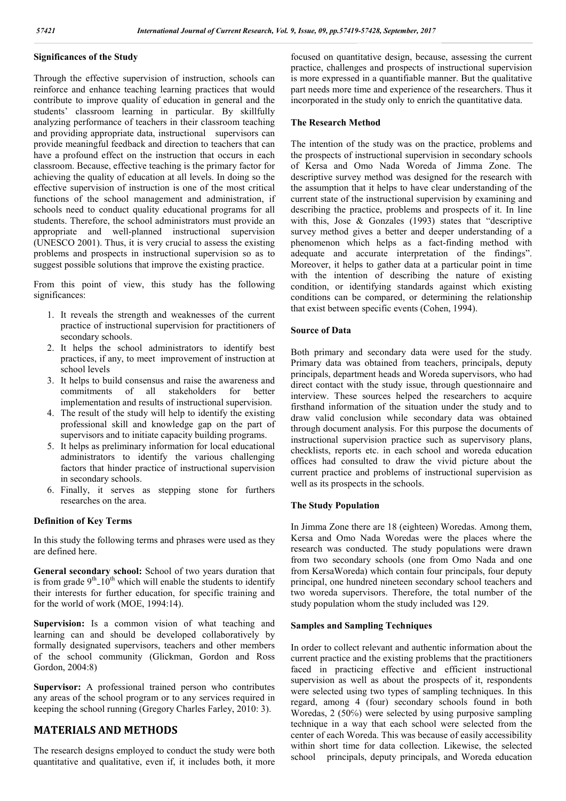#### **Significances of the Study**

Through the effective supervision of instruction, schools can reinforce and enhance teaching learning practices that would contribute to improve quality of education in general and the students' classroom learning in particular. By skillfully analyzing performance of teachers in their classroom teaching and providing appropriate data, instructional supervisors can provide meaningful feedback and direction to teachers that can have a profound effect on the instruction that occurs in each classroom. Because, effective teaching is the primary factor for achieving the quality of education at all levels. In doing so the effective supervision of instruction is one of the most critical functions of the school management and administration, if schools need to conduct quality educational programs for all students. Therefore, the school administrators must provide an appropriate and well-planned instructional supervision (UNESCO 2001). Thus, it is very crucial to assess the existing problems and prospects in instructional supervision so as to suggest possible solutions that improve the existing practice.

From this point of view, this study has the following significances:

- 1. It reveals the strength and weaknesses of the current practice of instructional supervision for practitioners of secondary schools.
- 2. It helps the school administrators to identify best practices, if any, to meet improvement of instruction at school levels
- 3. It helps to build consensus and raise the awareness and commitments of all stakeholders for better commitments of all stakeholders implementation and results of instructional supervision.
- 4. The result of the study will help to identify the existing professional skill and knowledge gap on the part of supervisors and to initiate capacity building programs.
- 5. It helps as preliminary information for local educational administrators to identify the various challenging factors that hinder practice of instructional supervision in secondary schools.
- 6. Finally, it serves as stepping stone for furthers researches on the area.

#### **Definition of Key Terms**

In this study the following terms and phrases were used as they are defined here.

**General secondary school:** School of two years duration that is from grade  $9<sup>th</sup>10<sup>th</sup>$  which will enable the students to identify their interests for further education, for specific training and for the world of work (MOE, 1994:14).

**Supervision:** Is a common vision of what teaching and learning can and should be developed collaboratively by formally designated supervisors, teachers and other members of the school community (Glickman, Gordon and Ross Gordon, 2004:8)

**Supervisor:** A professional trained person who contributes any areas of the school program or to any services required in keeping the school running (Gregory Charles Farley, 2010: 3).

## **MATERIALS AND METHODS**

The research designs employed to conduct the study were both quantitative and qualitative, even if, it includes both, it more

focused on quantitative design, because, assessing the current practice, challenges and prospects of instructional supervision is more expressed in a quantifiable manner. But the qualitative part needs more time and experience of the researchers. Thus it incorporated in the study only to enrich the quantitative data.

#### **The Research Method**

The intention of the study was on the practice, problems and the prospects of instructional supervision in secondary schools of Kersa and Omo Nada Woreda of Jimma Zone. The descriptive survey method was designed for the research with the assumption that it helps to have clear understanding of the current state of the instructional supervision by examining and describing the practice, problems and prospects of it. In line with this, Jose & Gonzales (1993) states that "descriptive survey method gives a better and deeper understanding of a phenomenon which helps as a fact-finding method with adequate and accurate interpretation of the findings". Moreover, it helps to gather data at a particular point in time with the intention of describing the nature of existing condition, or identifying standards against which existing conditions can be compared, or determining the relationship that exist between specific events (Cohen, 1994).

#### **Source of Data**

Both primary and secondary data were used for the study. Primary data was obtained from teachers, principals, deputy principals, department heads and Woreda supervisors, who had direct contact with the study issue, through questionnaire and interview. These sources helped the researchers to acquire firsthand information of the situation under the study and to draw valid conclusion while secondary data was obtained through document analysis. For this purpose the documents of instructional supervision practice such as supervisory plans, checklists, reports etc. in each school and woreda education offices had consulted to draw the vivid picture about the current practice and problems of instructional supervision as well as its prospects in the schools.

#### **The Study Population**

In Jimma Zone there are 18 (eighteen) Woredas. Among them, Kersa and Omo Nada Woredas were the places where the research was conducted. The study populations were drawn from two secondary schools (one from Omo Nada and one from KersaWoreda) which contain four principals, four deputy principal, one hundred nineteen secondary school teachers and two woreda supervisors. Therefore, the total number of the study population whom the study included was 129.

#### **Samples and Sampling Techniques**

In order to collect relevant and authentic information about the current practice and the existing problems that the practitioners faced in practicing effective and efficient instructional supervision as well as about the prospects of it, respondents were selected using two types of sampling techniques. In this regard, among 4 (four) secondary schools found in both Woredas, 2 (50%) were selected by using purposive sampling technique in a way that each school were selected from the center of each Woreda. This was because of easily accessibility within short time for data collection. Likewise, the selected school principals, deputy principals, and Woreda education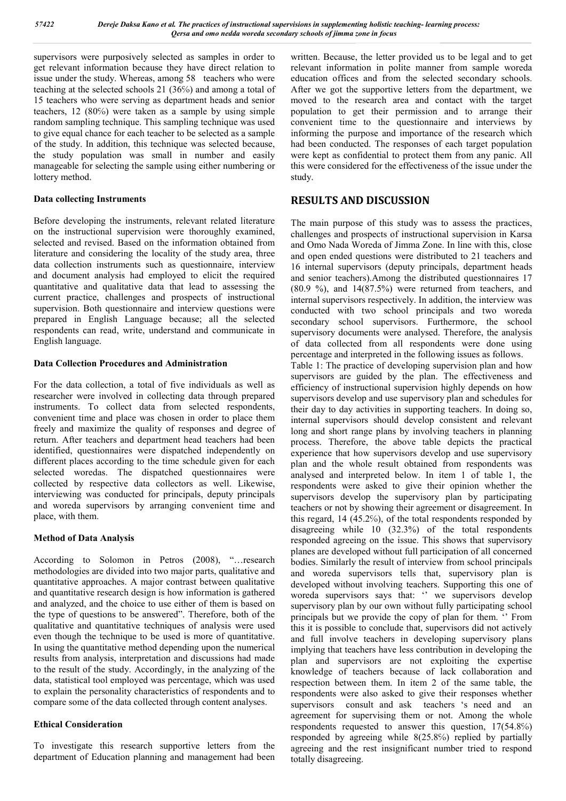supervisors were purposively selected as samples in order to get relevant information because they have direct relation to issue under the study. Whereas, among 58 teachers who were teaching at the selected schools 21 (36℅) and among a total of 15 teachers who were serving as department heads and senior teachers, 12 (80℅) were taken as a sample by using simple random sampling technique. This sampling technique was used to give equal chance for each teacher to be selected as a sample of the study. In addition, this technique was selected because, the study population was small in number and easily manageable for selecting the sample using either numbering or lottery method.

#### **Data collecting Instruments**

Before developing the instruments, relevant related literature on the instructional supervision were thoroughly examined, selected and revised. Based on the information obtained from literature and considering the locality of the study area, three data collection instruments such as questionnaire, interview and document analysis had employed to elicit the required quantitative and qualitative data that lead to assessing the current practice, challenges and prospects of instructional supervision. Both questionnaire and interview questions were prepared in English Language because; all the selected respondents can read, write, understand and communicate in English language.

#### **Data Collection Procedures and Administration**

For the data collection, a total of five individuals as well as researcher were involved in collecting data through prepared instruments. To collect data from selected respondents, convenient time and place was chosen in order to place them freely and maximize the quality of responses and degree of return. After teachers and department head teachers had been identified, questionnaires were dispatched independently on different places according to the time schedule given for each selected woredas. The dispatched questionnaires were collected by respective data collectors as well. Likewise, interviewing was conducted for principals, deputy principals and woreda supervisors by arranging convenient time and place, with them.

#### **Method of Data Analysis**

According to Solomon in Petros (2008), "…research methodologies are divided into two major parts, qualitative and quantitative approaches. A major contrast between qualitative and quantitative research design is how information is gathered and analyzed, and the choice to use either of them is based on the type of questions to be answered". Therefore, both of the qualitative and quantitative techniques of analysis were used even though the technique to be used is more of quantitative. In using the quantitative method depending upon the numerical results from analysis, interpretation and discussions had made to the result of the study. Accordingly, in the analyzing of the data, statistical tool employed was percentage, which was used to explain the personality characteristics of respondents and to compare some of the data collected through content analyses.

#### **Ethical Consideration**

To investigate this research supportive letters from the department of Education planning and management had been written. Because, the letter provided us to be legal and to get relevant information in polite manner from sample woreda education offices and from the selected secondary schools. After we got the supportive letters from the department, we moved to the research area and contact with the target population to get their permission and to arrange their convenient time to the questionnaire and interviews by informing the purpose and importance of the research which had been conducted. The responses of each target population were kept as confidential to protect them from any panic. All this were considered for the effectiveness of the issue under the study.

### **RESULTS AND DISCUSSION**

The main purpose of this study was to assess the practices, challenges and prospects of instructional supervision in Karsa and Omo Nada Woreda of Jimma Zone. In line with this, close and open ended questions were distributed to 21 teachers and 16 internal supervisors (deputy principals, department heads and senior teachers).Among the distributed questionnaires 17 (80.9 %), and 14(87.5%) were returned from teachers, and internal supervisors respectively. In addition, the interview was conducted with two school principals and two woreda secondary school supervisors. Furthermore, the school supervisory documents were analysed. Therefore, the analysis of data collected from all respondents were done using percentage and interpreted in the following issues as follows.

Table 1: The practice of developing supervision plan and how supervisors are guided by the plan. The effectiveness and efficiency of instructional supervision highly depends on how supervisors develop and use supervisory plan and schedules for their day to day activities in supporting teachers. In doing so, internal supervisors should develop consistent and relevant long and short range plans by involving teachers in planning process. Therefore, the above table depicts the practical experience that how supervisors develop and use supervisory plan and the whole result obtained from respondents was analysed and interpreted below. In item 1 of table 1, the respondents were asked to give their opinion whether the supervisors develop the supervisory plan by participating teachers or not by showing their agreement or disagreement. In this regard, 14 (45.2℅), of the total respondents responded by disagreeing while 10 (32.3%) of the total respondents responded agreeing on the issue. This shows that supervisory planes are developed without full participation of all concerned bodies. Similarly the result of interview from school principals and woreda supervisors tells that, supervisory plan is developed without involving teachers. Supporting this one of woreda supervisors says that: '' we supervisors develop supervisory plan by our own without fully participating school principals but we provide the copy of plan for them. '' From this it is possible to conclude that, supervisors did not actively and full involve teachers in developing supervisory plans implying that teachers have less contribution in developing the plan and supervisors are not exploiting the expertise knowledge of teachers because of lack collaboration and respection between them. In item 2 of the same table, the respondents were also asked to give their responses whether supervisors consult and ask teachers 's need and an agreement for supervising them or not. Among the whole respondents requested to answer this question,  $17(54.8%)$ responded by agreeing while 8(25.8℅) replied by partially agreeing and the rest insignificant number tried to respond totally disagreeing.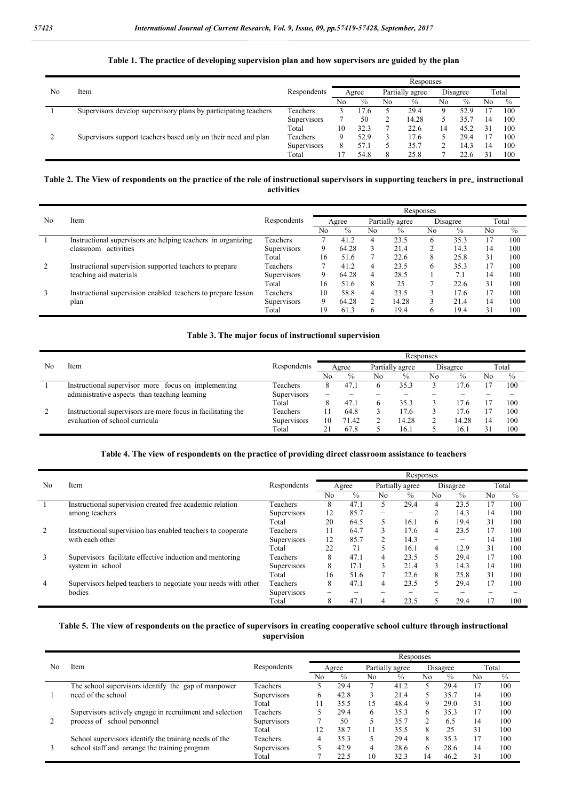#### **Table 1. The practice of developing supervision plan and how supervisors are guided by the plan**

|    |                                                                 |                    | Responses |      |    |       |                 |               |          |                      |  |       |
|----|-----------------------------------------------------------------|--------------------|-----------|------|----|-------|-----------------|---------------|----------|----------------------|--|-------|
| No | Item                                                            | Respondents        | Agree     |      |    |       | Partially agree |               | Disagree |                      |  | Total |
|    |                                                                 |                    | No        | $\%$ | No | $\%$  | No              | $\frac{c}{0}$ | No       | $\frac{c}{\sqrt{2}}$ |  |       |
|    | Supervisors develop supervisory plans by participating teachers | Teachers           |           | 17.6 |    | 29.4  | 9               | 52.9          |          | 100                  |  |       |
|    |                                                                 | Supervisors        |           | 50   |    | 14.28 |                 | 35.           | 14       | 100                  |  |       |
|    |                                                                 | Total              | 10        | 32.3 |    | 22.6  | 14              | 45.2          | 31       | 100                  |  |       |
|    | Supervisors support teachers based only on their need and plan  | Teachers           | Q,        | 52.9 |    | 17.6  |                 | 29.4          |          | 100                  |  |       |
|    |                                                                 | <b>Supervisors</b> | 8         | 57.1 |    | 35.7  |                 | 14.3          | 14       | 100                  |  |       |
|    |                                                                 | Total              |           | 54.8 | 8  | 25.8  |                 | 22.6          | 31       | 100                  |  |       |

#### Table 2. The View of respondents on the practice of the role of instructional supervisors in supporting teachers in pre\_instructional **activities**

|    | Item                                                         |                    | Responses |       |                 |       |          |                      |       |      |  |  |
|----|--------------------------------------------------------------|--------------------|-----------|-------|-----------------|-------|----------|----------------------|-------|------|--|--|
| No |                                                              | Respondents        | Agree     |       | Partially agree |       | Disagree |                      | Total |      |  |  |
|    |                                                              |                    | No        | $\%$  | No              | $\%$  | No       | $\frac{c}{\sqrt{2}}$ | No    | $\%$ |  |  |
|    | Instructional supervisors are helping teachers in organizing | Teachers           |           | 41.2  | 4               | 23.5  | 6        | 35.3                 |       | 100  |  |  |
|    | classroom activities                                         | <b>Supervisors</b> | 9         | 64.28 |                 | 21.4  | 2        | 14.3                 | 14    | 100  |  |  |
|    |                                                              | Total              | 16        | 51.6  |                 | 22.6  | 8        | 25.8                 | 31    | 100  |  |  |
| 2  | Instructional supervision supported teachers to prepare      | Teachers           |           | 41.2  | 4               | 23.5  | 6        | 35.3                 |       | 100  |  |  |
|    | teaching aid materials                                       | Supervisors        | 9         | 64.28 | 4               | 28.5  |          | $7_{.1}$             | 14    | 100  |  |  |
|    |                                                              | Total              | 16        | 51.6  | 8               | 25    |          | 22.6                 | 31    | 100  |  |  |
| 3  | Instructional supervision enabled teachers to prepare lesson | Teachers           | 10        | 58.8  | 4               | 23.5  | 3        | 17.6                 |       | 100  |  |  |
|    | plan                                                         | <b>Supervisors</b> | 9         | 64.28 |                 | 14.28 | 3        | 21.4                 | 14    | 100  |  |  |
|    |                                                              | Total              | 19        | 61.3  |                 | 19.4  | 6        | 19.4                 | 31    | 100  |  |  |

#### **Table 3. The major focus of instructional supervision**

|    |                                                              |                    | Responses |       |    |       |                 |       |          |      |       |  |
|----|--------------------------------------------------------------|--------------------|-----------|-------|----|-------|-----------------|-------|----------|------|-------|--|
| No | Item                                                         | Respondents        | Agree     |       |    |       | Partially agree |       | Disagree |      | Total |  |
|    |                                                              |                    | No        | $\%$  | No | $\%$  | Nο              | $\%$  | No       | $\%$ |       |  |
|    | Instructional supervisor more focus on implementing          | Teachers           | x         | 47.1  |    | 35.3  |                 | 17.6  |          | 100  |       |  |
|    | administrative aspects than teaching learning                | <b>Supervisors</b> |           |       |    |       |                 |       |          |      |       |  |
|    |                                                              | Total              | 8         | 47.1  | 6  | 35.3  |                 | 17.6  |          | 100  |       |  |
|    | Instructional supervisors are more focus in facilitating the | Teachers           |           | 64.8  |    | 17.6  |                 | 17.6  |          | 100  |       |  |
|    | evaluation of school curricula                               | <b>Supervisors</b> | 10        | 71.42 |    | 14.28 |                 | 14.28 |          | 100  |       |  |
|    |                                                              | Total              |           | 67.8  |    | 16.   |                 | 16.   |          | 100  |       |  |

#### **Table 4. The view of respondents on the practice of providing direct classroom assistance to teachers**

|                | Item                                                                           |                    | Responses |               |                 |                          |                          |                          |    |               |  |  |
|----------------|--------------------------------------------------------------------------------|--------------------|-----------|---------------|-----------------|--------------------------|--------------------------|--------------------------|----|---------------|--|--|
| No             |                                                                                | Respondents        | Agree     |               | Partially agree |                          | Disagree                 |                          |    | Total         |  |  |
|                |                                                                                |                    | No        | $\frac{c}{0}$ | No              | $\frac{c}{\sqrt{2}}$     | No                       | $\frac{c}{\sqrt{2}}$     | No | $\frac{c}{0}$ |  |  |
|                | Instructional supervision created free academic relation                       | Teachers           | 8         | 47.1          | 5               | 29.4                     | 4                        | 23.5                     | 17 | 100           |  |  |
|                | among teachers                                                                 | <b>Supervisors</b> | 12        | 85.7          | -               | $\overline{\phantom{0}}$ | 2                        | 14.3                     | 14 | 100           |  |  |
|                |                                                                                | Total              | 20        | 64.5          | 5               | 16.1                     | 6                        | 19.4                     | 31 | 100           |  |  |
| 2              | Instructional supervision has enabled teachers to cooperate<br>with each other | Teachers           | 11        | 64.7          | 3               | 17.6                     | 4                        | 23.5                     | 17 | 100           |  |  |
|                |                                                                                | Supervisors        | 12        | 85.7          | 2               | 14.3                     | $\overline{\phantom{0}}$ | $\overline{\phantom{0}}$ | 14 | 100           |  |  |
|                |                                                                                | Total              | 22        | 71            | 5               | 16.1                     | 4                        | 12.9                     | 31 | 100           |  |  |
| 3              | Supervisors facilitate effective induction and mentoring                       | Teachers           | 8         | 47.1          | 4               | 23.5                     | 5                        | 29.4                     | 17 | 100           |  |  |
|                | system in school                                                               | <b>Supervisors</b> | 8         | I7.1          | 3               | 21.4                     | 3                        | 14.3                     | 14 | 100           |  |  |
|                |                                                                                | Total              | 16        | 51.6          | 7               | 22.6                     | 8                        | 25.8                     | 31 | 100           |  |  |
| $\overline{4}$ | Supervisors helped teachers to negotiate your needs with other                 | Teachers           | 8         | 47.1          | 4               | 23.5                     | 5                        | 29.4                     | 17 | 100           |  |  |
|                | bodies                                                                         | <b>Supervisors</b> | -         |               |                 |                          |                          |                          |    |               |  |  |
|                |                                                                                | Total              | 8         | 47.1          | 4               | 23.5                     |                          | 29.4                     |    | 100           |  |  |

#### **Table 5. The view of respondents on the practice of supervisors in creating cooperative school culture through instructional supervision**

|    | Item                                                     |                    | Responses |                      |                 |      |                |      |    |       |  |  |  |
|----|----------------------------------------------------------|--------------------|-----------|----------------------|-----------------|------|----------------|------|----|-------|--|--|--|
| No |                                                          | Respondents        | Agree     |                      | Partially agree |      | Disagree       |      |    | Total |  |  |  |
|    |                                                          |                    | No        | $\frac{c}{\sqrt{2}}$ | No              | $\%$ | No             | $\%$ | No | $\%$  |  |  |  |
|    | The school supervisors identify the gap of manpower      | Teachers           |           | 29.4                 | ┑               | 41.2 | 5              | 29.4 | 17 | 100   |  |  |  |
|    | need of the school                                       | Supervisors        | 6         | 42.8                 |                 | 21.4 | 5              | 35.7 | 14 | 100   |  |  |  |
|    |                                                          | Total              |           | 35.5                 | 15              | 48.4 | 9              | 29.0 | 31 | 100   |  |  |  |
|    | Supervisors actively engage in recruitment and selection | Teachers           |           | 29.4                 | 6               | 35.3 | 6              | 35.3 | 17 | 100   |  |  |  |
|    | process of school personnel                              | <b>Supervisors</b> |           | 50                   | 5               | 35.7 | $\mathfrak{D}$ | 6.5  | 14 | 100   |  |  |  |
|    |                                                          | Total              |           | 38.7                 | 11              | 35.5 | 8              | 25   | 31 | 100   |  |  |  |
|    | School supervisors identify the training needs of the    | Teachers           |           | 35.3                 |                 | 29.4 | 8              | 35.3 | 17 | 100   |  |  |  |
|    | school staff and arrange the training program            | <b>Supervisors</b> |           | 42.9                 | 4               | 28.6 | 6              | 28.6 | 14 | 100   |  |  |  |
|    |                                                          | Total              |           |                      | 10              | 32.3 | 14             | 46.2 | 31 | 100   |  |  |  |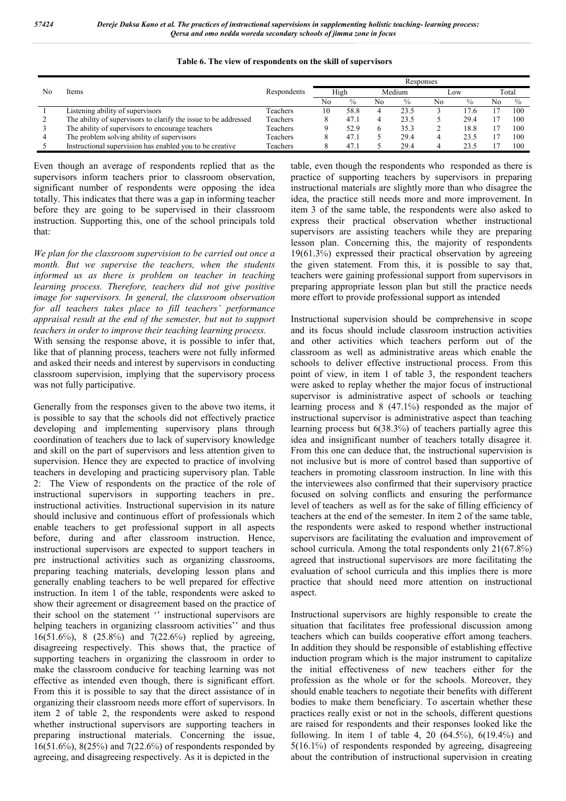| Table 6. The view of respondents on the skill of supervisors |  |
|--------------------------------------------------------------|--|
|--------------------------------------------------------------|--|

|    | Items                                                           |                 | Responses |               |        |      |     |      |    |                      |  |  |  |
|----|-----------------------------------------------------------------|-----------------|-----------|---------------|--------|------|-----|------|----|----------------------|--|--|--|
| Nο |                                                                 | Respondents     | High      |               | Medium |      | Low |      |    | Total                |  |  |  |
|    |                                                                 |                 | No        | $\frac{c}{0}$ | No     | $\%$ | No  |      | No | $\frac{c}{\sqrt{2}}$ |  |  |  |
|    | Listening ability of supervisors                                | <b>Teachers</b> | 0         | 58.8          |        | 23.5 |     | 17.6 |    | 100                  |  |  |  |
|    | The ability of supervisors to clarify the issue to be addressed | Teachers        |           | 47.1          |        | 23.5 |     | 29.4 |    | 100                  |  |  |  |
|    | The ability of supervisors to encourage teachers                | Teachers        |           | 52.9          |        | 35.3 |     | 18.8 |    | 100                  |  |  |  |
|    | The problem solving ability of supervisors                      | Teachers        |           | 47.1          |        | 29.4 |     | 23.5 |    | 100                  |  |  |  |
|    | Instructional supervision has enabled you to be creative        | Teachers        |           | 47.1          |        | 29.4 |     | 23.5 |    | 100                  |  |  |  |

Even though an average of respondents replied that as the supervisors inform teachers prior to classroom observation, significant number of respondents were opposing the idea totally. This indicates that there was a gap in informing teacher before they are going to be supervised in their classroom instruction. Supporting this, one of the school principals told that:

*We plan for the classroom supervision to be carried out once a month. But we supervise the teachers, when the students informed us as there is problem on teacher in teaching learning process. Therefore, teachers did not give positive image for supervisors. In general, the classroom observation for all teachers takes place to fill teachers' performance appraisal result at the end of the semester, but not to support teachers in order to improve their teaching learning process.*

With sensing the response above, it is possible to infer that, like that of planning process, teachers were not fully informed and asked their needs and interest by supervisors in conducting classroom supervision, implying that the supervisory process was not fully participative.

Generally from the responses given to the above two items, it is possible to say that the schools did not effectively practice developing and implementing supervisory plans through coordination of teachers due to lack of supervisory knowledge and skill on the part of supervisors and less attention given to supervision. Hence they are expected to practice of involving teachers in developing and practicing supervisory plan. Table 2: The View of respondents on the practice of the role of instructional supervisors in supporting teachers in pre instructional activities. Instructional supervision in its nature should inclusive and continuous effort of professionals which enable teachers to get professional support in all aspects before, during and after classroom instruction. Hence, instructional supervisors are expected to support teachers in pre instructional activities such as organizing classrooms, preparing teaching materials, developing lesson plans and generally enabling teachers to be well prepared for effective instruction. In item 1 of the table, respondents were asked to show their agreement or disagreement based on the practice of their school on the statement '' instructional supervisors are helping teachers in organizing classroom activities'' and thus 16(51.6℅), 8 (25.8℅) and 7(22.6℅) replied by agreeing, disagreeing respectively. This shows that, the practice of supporting teachers in organizing the classroom in order to make the classroom conducive for teaching learning was not effective as intended even though, there is significant effort. From this it is possible to say that the direct assistance of in organizing their classroom needs more effort of supervisors. In item 2 of table 2, the respondents were asked to respond whether instructional supervisors are supporting teachers in preparing instructional materials. Concerning the issue, 16(51.6℅), 8(25℅) and 7(22.6℅) of respondents responded by agreeing, and disagreeing respectively. As it is depicted in the

table, even though the respondents who responded as there is practice of supporting teachers by supervisors in preparing instructional materials are slightly more than who disagree the idea, the practice still needs more and more improvement. In item 3 of the same table, the respondents were also asked to express their practical observation whether instructional supervisors are assisting teachers while they are preparing lesson plan. Concerning this, the majority of respondents 19(61.3℅) expressed their practical observation by agreeing the given statement. From this, it is possible to say that, teachers were gaining professional support from supervisors in preparing appropriate lesson plan but still the practice needs more effort to provide professional support as intended

Instructional supervision should be comprehensive in scope and its focus should include classroom instruction activities and other activities which teachers perform out of the classroom as well as administrative areas which enable the schools to deliver effective instructional process. From this point of view, in item 1 of table 3, the respondent teachers were asked to replay whether the major focus of instructional supervisor is administrative aspect of schools or teaching learning process and 8 (47.1℅) responded as the major of instructional supervisor is administrative aspect than teaching learning process but 6(38.3℅) of teachers partially agree this idea and insignificant number of teachers totally disagree it. From this one can deduce that, the instructional supervision is not inclusive but is more of control based than supportive of teachers in promoting classroom instruction. In line with this the interviewees also confirmed that their supervisory practice focused on solving conflicts and ensuring the performance level of teachers as well as for the sake of filling efficiency of teachers at the end of the semester. In item 2 of the same table, the respondents were asked to respond whether instructional supervisors are facilitating the evaluation and improvement of school curricula. Among the total respondents only 21(67.8%) agreed that instructional supervisors are more facilitating the evaluation of school curricula and this implies there is more practice that should need more attention on instructional aspect.

Instructional supervisors are highly responsible to create the situation that facilitates free professional discussion among teachers which can builds cooperative effort among teachers. In addition they should be responsible of establishing effective induction program which is the major instrument to capitalize the initial effectiveness of new teachers either for the profession as the whole or for the schools. Moreover, they should enable teachers to negotiate their benefits with different bodies to make them beneficiary. To ascertain whether these practices really exist or not in the schools, different questions are raised for respondents and their responses looked like the following. In item 1 of table 4, 20  $(64.5\%)$ ,  $6(19.4\%)$  and 5(16.1℅) of respondents responded by agreeing, disagreeing about the contribution of instructional supervision in creating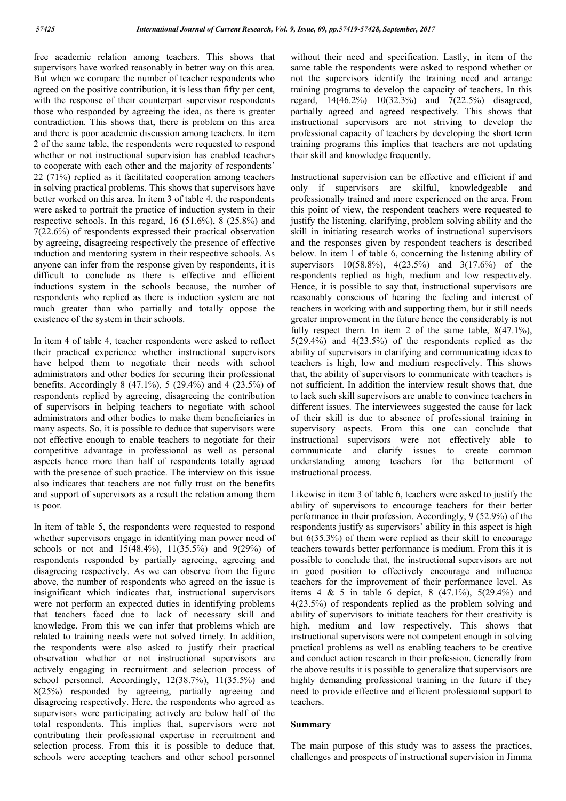free academic relation among teachers. This shows that supervisors have worked reasonably in better way on this area. But when we compare the number of teacher respondents who agreed on the positive contribution, it is less than fifty per cent, with the response of their counterpart supervisor respondents those who responded by agreeing the idea, as there is greater contradiction. This shows that, there is problem on this area and there is poor academic discussion among teachers. In item 2 of the same table, the respondents were requested to respond whether or not instructional supervision has enabled teachers to cooperate with each other and the majority of respondents' 22 (71℅) replied as it facilitated cooperation among teachers in solving practical problems. This shows that supervisors have better worked on this area. In item 3 of table 4, the respondents were asked to portrait the practice of induction system in their respective schools. In this regard,  $16$  (51.6%), 8 (25.8%) and 7(22.6℅) of respondents expressed their practical observation by agreeing, disagreeing respectively the presence of effective induction and mentoring system in their respective schools. As anyone can infer from the response given by respondents, it is difficult to conclude as there is effective and efficient inductions system in the schools because, the number of respondents who replied as there is induction system are not much greater than who partially and totally oppose the existence of the system in their schools.

In item 4 of table 4, teacher respondents were asked to reflect their practical experience whether instructional supervisors have helped them to negotiate their needs with school administrators and other bodies for securing their professional benefits. Accordingly 8 (47.1%), 5 (29.4%) and 4 (23.5%) of respondents replied by agreeing, disagreeing the contribution of supervisors in helping teachers to negotiate with school administrators and other bodies to make them beneficiaries in many aspects. So, it is possible to deduce that supervisors were not effective enough to enable teachers to negotiate for their competitive advantage in professional as well as personal aspects hence more than half of respondents totally agreed with the presence of such practice. The interview on this issue also indicates that teachers are not fully trust on the benefits and support of supervisors as a result the relation among them is poor.

In item of table 5, the respondents were requested to respond whether supervisors engage in identifying man power need of schools or not and 15(48.4%), 11(35.5%) and 9(29%) of respondents responded by partially agreeing, agreeing and disagreeing respectively. As we can observe from the figure above, the number of respondents who agreed on the issue is insignificant which indicates that, instructional supervisors were not perform an expected duties in identifying problems that teachers faced due to lack of necessary skill and knowledge. From this we can infer that problems which are related to training needs were not solved timely. In addition, the respondents were also asked to justify their practical observation whether or not instructional supervisors are actively engaging in recruitment and selection process of school personnel. Accordingly, 12(38.7%), 11(35.5%) and 8(25℅) responded by agreeing, partially agreeing and disagreeing respectively. Here, the respondents who agreed as supervisors were participating actively are below half of the total respondents. This implies that, supervisors were not contributing their professional expertise in recruitment and selection process. From this it is possible to deduce that, schools were accepting teachers and other school personnel

without their need and specification. Lastly, in item of the same table the respondents were asked to respond whether or not the supervisors identify the training need and arrange training programs to develop the capacity of teachers. In this regard, 14(46.2℅) 10(32.3℅) and 7(22.5℅) disagreed, partially agreed and agreed respectively. This shows that instructional supervisors are not striving to develop the professional capacity of teachers by developing the short term training programs this implies that teachers are not updating their skill and knowledge frequently.

Instructional supervision can be effective and efficient if and only if supervisors are skilful, knowledgeable and professionally trained and more experienced on the area. From this point of view, the respondent teachers were requested to justify the listening, clarifying, problem solving ability and the skill in initiating research works of instructional supervisors and the responses given by respondent teachers is described below. In item 1 of table 6, concerning the listening ability of supervisors 10(58.8%), 4(23.5%) and 3(17.6%) of the respondents replied as high, medium and low respectively. Hence, it is possible to say that, instructional supervisors are reasonably conscious of hearing the feeling and interest of teachers in working with and supporting them, but it still needs greater improvement in the future hence the considerably is not fully respect them. In item 2 of the same table,  $8(47.1\%)$ , 5(29.4℅) and 4(23.5℅) of the respondents replied as the ability of supervisors in clarifying and communicating ideas to teachers is high, low and medium respectively. This shows that, the ability of supervisors to communicate with teachers is not sufficient. In addition the interview result shows that, due to lack such skill supervisors are unable to convince teachers in different issues. The interviewees suggested the cause for lack of their skill is due to absence of professional training in supervisory aspects. From this one can conclude that instructional supervisors were not effectively able to communicate and clarify issues to create common understanding among teachers for the betterment of instructional process.

Likewise in item 3 of table 6, teachers were asked to justify the ability of supervisors to encourage teachers for their better performance in their profession. Accordingly, 9 (52.9℅) of the respondents justify as supervisors' ability in this aspect is high but 6(35.3℅) of them were replied as their skill to encourage teachers towards better performance is medium. From this it is possible to conclude that, the instructional supervisors are not in good position to effectively encourage and influence teachers for the improvement of their performance level. As items 4 & 5 in table 6 depict, 8  $(47.1\%)$ ,  $5(29.4\%)$  and 4(23.5℅) of respondents replied as the problem solving and ability of supervisors to initiate teachers for their creativity is high, medium and low respectively. This shows that instructional supervisors were not competent enough in solving practical problems as well as enabling teachers to be creative and conduct action research in their profession. Generally from the above results it is possible to generalize that supervisors are highly demanding professional training in the future if they need to provide effective and efficient professional support to teachers.

#### **Summary**

The main purpose of this study was to assess the practices, challenges and prospects of instructional supervision in Jimma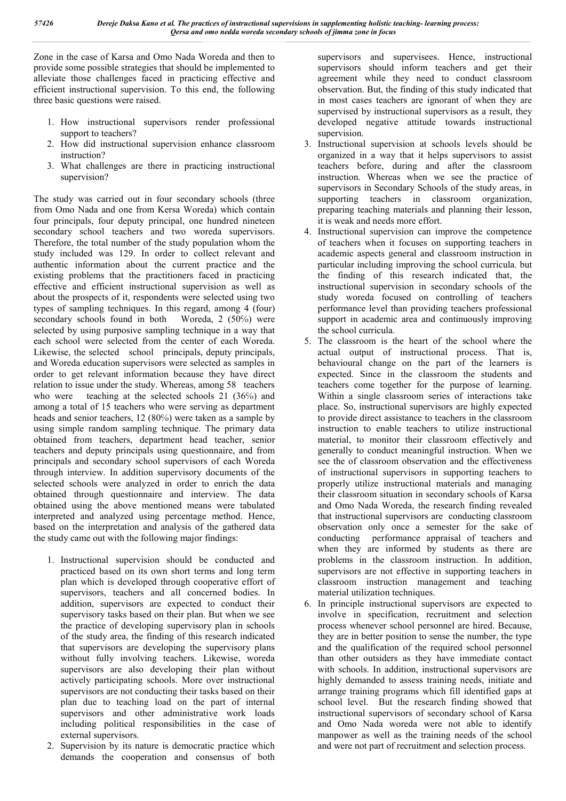Zone in the case of Karsa and Omo Nada Woreda and then to provide some possible strategies that should be implemented to alleviate those challenges faced in practicing effective and efficient instructional supervision. To this end, the following three basic questions were raised.

- 1. How instructional supervisors render professional support to teachers?
- 2. How did instructional supervision enhance classroom instruction?
- 3. What challenges are there in practicing instructional supervision?

The study was carried out in four secondary schools (three from Omo Nada and one from Kersa Woreda) which contain four principals, four deputy principal, one hundred nineteen secondary school teachers and two woreda supervisors. Therefore, the total number of the study population whom the study included was 129. In order to collect relevant and authentic information about the current practice and the existing problems that the practitioners faced in practicing effective and efficient instructional supervision as well as about the prospects of it, respondents were selected using two types of sampling techniques. In this regard, among 4 (four) secondary schools found in both Woreda, 2 (50%) were selected by using purposive sampling technique in a way that each school were selected from the center of each Woreda. Likewise, the selected school principals, deputy principals, and Woreda education supervisors were selected as samples in order to get relevant information because they have direct relation to issue under the study. Whereas, among 58 teachers who were teaching at the selected schools 21 (36%) and among a total of 15 teachers who were serving as department heads and senior teachers, 12 (80%) were taken as a sample by using simple random sampling technique. The primary data obtained from teachers, department head teacher, senior teachers and deputy principals using questionnaire, and from principals and secondary school supervisors of each Woreda through interview. In addition supervisory documents of the selected schools were analyzed in order to enrich the data obtained through questionnaire and interview. The data obtained using the above mentioned means were tabulated interpreted and analyzed using percentage method. Hence, based on the interpretation and analysis of the gathered data the study came out with the following major findings:

- 1. Instructional supervision should be conducted and practiced based on its own short terms and long term plan which is developed through cooperative effort of supervisors, teachers and all concerned bodies. In addition, supervisors are expected to conduct their supervisory tasks based on their plan. But when we see the practice of developing supervisory plan in schools of the study area, the finding of this research indicated that supervisors are developing the supervisory plans without fully involving teachers. Likewise, woreda supervisors are also developing their plan without actively participating schools. More over instructional supervisors are not conducting their tasks based on their plan due to teaching load on the part of internal supervisors and other administrative work loads including political responsibilities in the case of external supervisors.
- 2. Supervision by its nature is democratic practice which demands the cooperation and consensus of both

supervisors and supervisees. Hence, instructional supervisors should inform teachers and get their agreement while they need to conduct classroom observation. But, the finding of this study indicated that in most cases teachers are ignorant of when they are supervised by instructional supervisors as a result, they developed negative attitude towards instructional supervision.

- 3. Instructional supervision at schools levels should be organized in a way that it helps supervisors to assist teachers before, during and after the classroom instruction. Whereas when we see the practice of supervisors in Secondary Schools of the study areas, in supporting teachers in classroom organization, preparing teaching materials and planning their lesson, it is weak and needs more effort.
- 4. Instructional supervision can improve the competence of teachers when it focuses on supporting teachers in academic aspects general and classroom instruction in particular including improving the school curricula. but the finding of this research indicated that, the instructional supervision in secondary schools of the study woreda focused on controlling of teachers performance level than providing teachers professional support in academic area and continuously improving the school curricula.
- 5. The classroom is the heart of the school where the actual output of instructional process. That is, behavioural change on the part of the learners is expected. Since in the classroom the students and teachers come together for the purpose of learning. Within a single classroom series of interactions take place. So, instructional supervisors are highly expected to provide direct assistance to teachers in the classroom instruction to enable teachers to utilize instructional material, to monitor their classroom effectively and generally to conduct meaningful instruction. When we see the of classroom observation and the effectiveness of instructional supervisors in supporting teachers to properly utilize instructional materials and managing their classroom situation in secondary schools of Karsa and Omo Nada Woreda, the research finding revealed that instructional supervisors are conducting classroom observation only once a semester for the sake of conducting performance appraisal of teachers and when they are informed by students as there are problems in the classroom instruction. In addition, supervisors are not effective in supporting teachers in classroom instruction management and teaching material utilization techniques.
- 6. In principle instructional supervisors are expected to involve in specification, recruitment and selection process whenever school personnel are hired. Because, they are in better position to sense the number, the type and the qualification of the required school personnel than other outsiders as they have immediate contact with schools. In addition, instructional supervisors are highly demanded to assess training needs, initiate and arrange training programs which fill identified gaps at school level. But the research finding showed that instructional supervisors of secondary school of Karsa and Omo Nada woreda were not able to identify manpower as well as the training needs of the school and were not part of recruitment and selection process.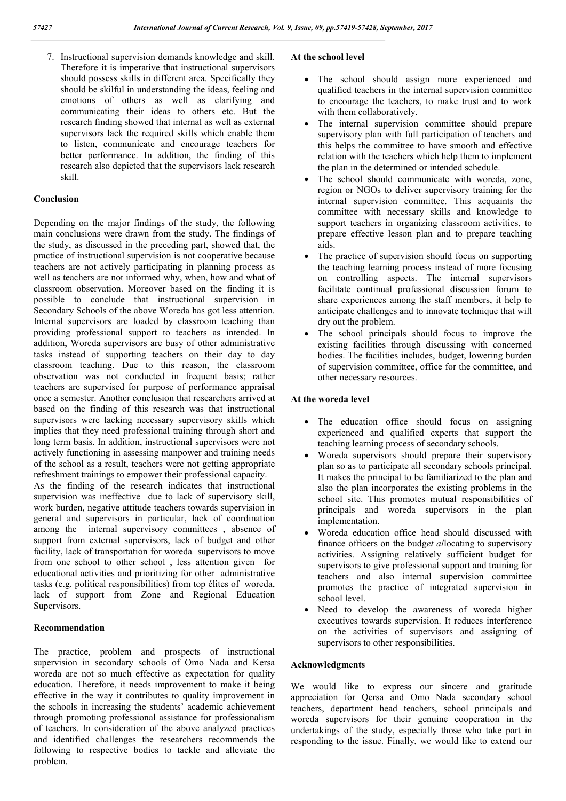7. Instructional supervision demands knowledge and skill. Therefore it is imperative that instructional supervisors should possess skills in different area. Specifically they should be skilful in understanding the ideas, feeling and emotions of others as well as clarifying and communicating their ideas to others etc. But the research finding showed that internal as well as external supervisors lack the required skills which enable them to listen, communicate and encourage teachers for better performance. In addition, the finding of this research also depicted that the supervisors lack research skill.

#### **Conclusion**

Depending on the major findings of the study, the following main conclusions were drawn from the study. The findings of the study, as discussed in the preceding part, showed that, the practice of instructional supervision is not cooperative because teachers are not actively participating in planning process as well as teachers are not informed why, when, how and what of classroom observation. Moreover based on the finding it is possible to conclude that instructional supervision in Secondary Schools of the above Woreda has got less attention. Internal supervisors are loaded by classroom teaching than providing professional support to teachers as intended. In addition, Woreda supervisors are busy of other administrative tasks instead of supporting teachers on their day to day classroom teaching. Due to this reason, the classroom observation was not conducted in frequent basis; rather teachers are supervised for purpose of performance appraisal once a semester. Another conclusion that researchers arrived at based on the finding of this research was that instructional supervisors were lacking necessary supervisory skills which implies that they need professional training through short and long term basis. In addition, instructional supervisors were not actively functioning in assessing manpower and training needs of the school as a result, teachers were not getting appropriate refreshment trainings to empower their professional capacity.

As the finding of the research indicates that instructional supervision was ineffective due to lack of supervisory skill, work burden, negative attitude teachers towards supervision in general and supervisors in particular, lack of coordination among the internal supervisory committees , absence of support from external supervisors, lack of budget and other facility, lack of transportation for woreda supervisors to move from one school to other school , less attention given for educational activities and prioritizing for other administrative tasks (e.g. political responsibilities) from top élites of woreda, lack of support from Zone and Regional Education Supervisors.

#### **Recommendation**

The practice, problem and prospects of instructional supervision in secondary schools of Omo Nada and Kersa woreda are not so much effective as expectation for quality education. Therefore, it needs improvement to make it being effective in the way it contributes to quality improvement in the schools in increasing the students' academic achievement through promoting professional assistance for professionalism of teachers. In consideration of the above analyzed practices and identified challenges the researchers recommends the following to respective bodies to tackle and alleviate the problem.

#### **At the school level**

- The school should assign more experienced and qualified teachers in the internal supervision committee to encourage the teachers, to make trust and to work with them collaboratively.
- The internal supervision committee should prepare supervisory plan with full participation of teachers and this helps the committee to have smooth and effective relation with the teachers which help them to implement the plan in the determined or intended schedule.
- The school should communicate with woreda, zone, region or NGOs to deliver supervisory training for the internal supervision committee. This acquaints the committee with necessary skills and knowledge to support teachers in organizing classroom activities, to prepare effective lesson plan and to prepare teaching aids.
- The practice of supervision should focus on supporting the teaching learning process instead of more focusing on controlling aspects. The internal supervisors facilitate continual professional discussion forum to share experiences among the staff members, it help to anticipate challenges and to innovate technique that will dry out the problem.
- The school principals should focus to improve the existing facilities through discussing with concerned bodies. The facilities includes, budget, lowering burden of supervision committee, office for the committee, and other necessary resources.

#### **At the woreda level**

- The education office should focus on assigning experienced and qualified experts that support the teaching learning process of secondary schools.
- Woreda supervisors should prepare their supervisory plan so as to participate all secondary schools principal. It makes the principal to be familiarized to the plan and also the plan incorporates the existing problems in the school site. This promotes mutual responsibilities of principals and woreda supervisors in the plan implementation.
- Woreda education office head should discussed with finance officers on the budg*et al*locating to supervisory activities. Assigning relatively sufficient budget for supervisors to give professional support and training for teachers and also internal supervision committee promotes the practice of integrated supervision in school level.
- Need to develop the awareness of woreda higher executives towards supervision. It reduces interference on the activities of supervisors and assigning of supervisors to other responsibilities.

#### **Acknowledgments**

We would like to express our sincere and gratitude appreciation for Qersa and Omo Nada secondary school teachers, department head teachers, school principals and woreda supervisors for their genuine cooperation in the undertakings of the study, especially those who take part in responding to the issue. Finally, we would like to extend our